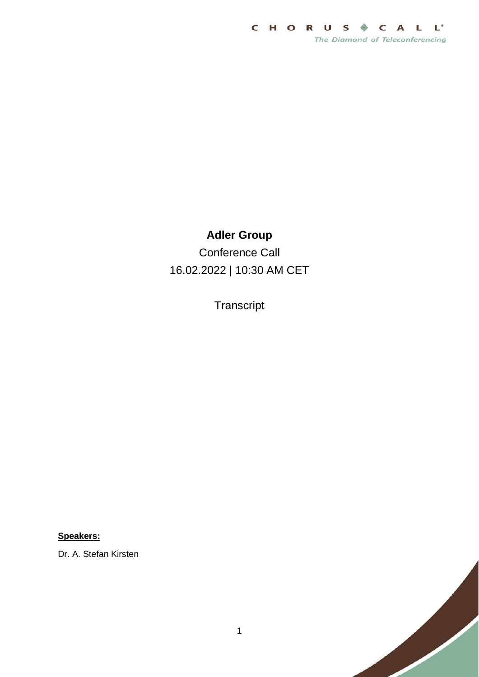

## **Adler Group**

Conference Call 16.02.2022 | 10:30 AM CET

**Transcript** 

**Speakers:**

Dr. A. Stefan Kirsten

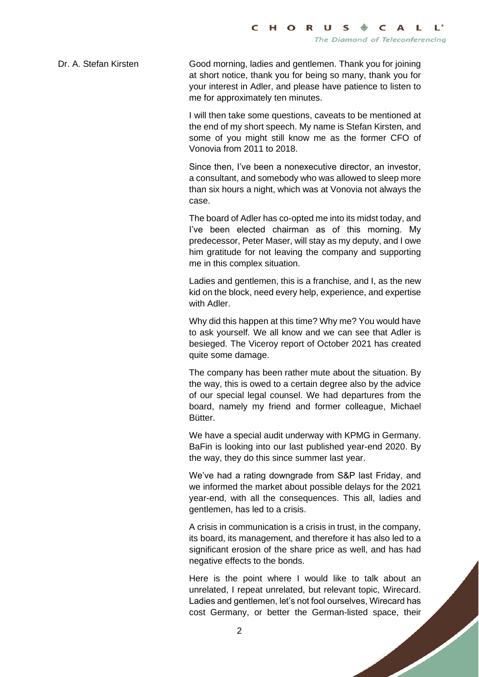Dr. A. Stefan Kirsten Good morning, ladies and gentlemen. Thank you for joining at short notice, thank you for being so many, thank you for your interest in Adler, and please have patience to listen to me for approximately ten minutes.

> I will then take some questions, caveats to be mentioned at the end of my short speech. My name is Stefan Kirsten, and some of you might still know me as the former CFO of Vonovia from 2011 to 2018.

> Since then, I've been a nonexecutive director, an investor, a consultant, and somebody who was allowed to sleep more than six hours a night, which was at Vonovia not always the case.

> The board of Adler has co-opted me into its midst today, and I've been elected chairman as of this morning. My predecessor, Peter Maser, will stay as my deputy, and I owe him gratitude for not leaving the company and supporting me in this complex situation.

> Ladies and gentlemen, this is a franchise, and I, as the new kid on the block, need every help, experience, and expertise with Adler.

> Why did this happen at this time? Why me? You would have to ask yourself. We all know and we can see that Adler is besieged. The Viceroy report of October 2021 has created quite some damage.

> The company has been rather mute about the situation. By the way, this is owed to a certain degree also by the advice of our special legal counsel. We had departures from the board, namely my friend and former colleague, Michael Bütter.

> We have a special audit underway with KPMG in Germany. BaFin is looking into our last published year-end 2020. By the way, they do this since summer last year.

> We've had a rating downgrade from S&P last Friday, and we informed the market about possible delays for the 2021 year-end, with all the consequences. This all, ladies and gentlemen, has led to a crisis.

> A crisis in communication is a crisis in trust, in the company, its board, its management, and therefore it has also led to a significant erosion of the share price as well, and has had negative effects to the bonds.

> Here is the point where I would like to talk about an unrelated, I repeat unrelated, but relevant topic, Wirecard. Ladies and gentlemen, let's not fool ourselves, Wirecard has cost Germany, or better the German-listed space, their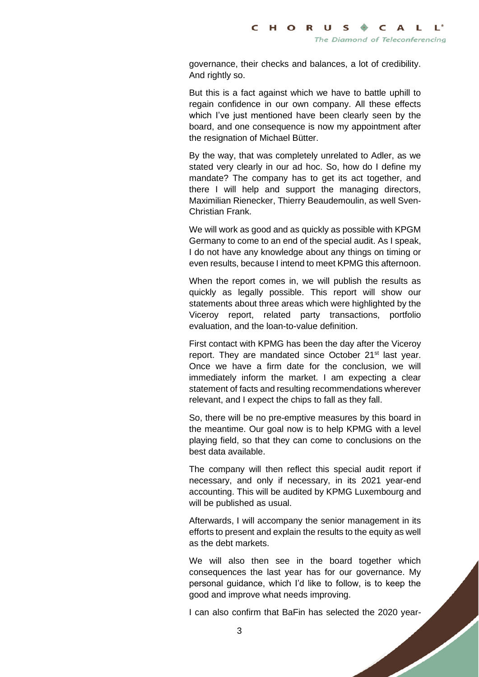governance, their checks and balances, a lot of credibility. And rightly so.

But this is a fact against which we have to battle uphill to regain confidence in our own company. All these effects which I've just mentioned have been clearly seen by the board, and one consequence is now my appointment after the resignation of Michael Bütter.

By the way, that was completely unrelated to Adler, as we stated very clearly in our ad hoc. So, how do I define my mandate? The company has to get its act together, and there I will help and support the managing directors, Maximilian Rienecker, Thierry Beaudemoulin, as well Sven-Christian Frank.

We will work as good and as quickly as possible with KPGM Germany to come to an end of the special audit. As I speak, I do not have any knowledge about any things on timing or even results, because I intend to meet KPMG this afternoon.

When the report comes in, we will publish the results as quickly as legally possible. This report will show our statements about three areas which were highlighted by the Viceroy report, related party transactions, portfolio evaluation, and the loan-to-value definition.

First contact with KPMG has been the day after the Viceroy report. They are mandated since October 21<sup>st</sup> last year. Once we have a firm date for the conclusion, we will immediately inform the market. I am expecting a clear statement of facts and resulting recommendations wherever relevant, and I expect the chips to fall as they fall.

So, there will be no pre-emptive measures by this board in the meantime. Our goal now is to help KPMG with a level playing field, so that they can come to conclusions on the best data available.

The company will then reflect this special audit report if necessary, and only if necessary, in its 2021 year-end accounting. This will be audited by KPMG Luxembourg and will be published as usual.

Afterwards, I will accompany the senior management in its efforts to present and explain the results to the equity as well as the debt markets.

We will also then see in the board together which consequences the last year has for our governance. My personal guidance, which I'd like to follow, is to keep the good and improve what needs improving.

I can also confirm that BaFin has selected the 2020 year-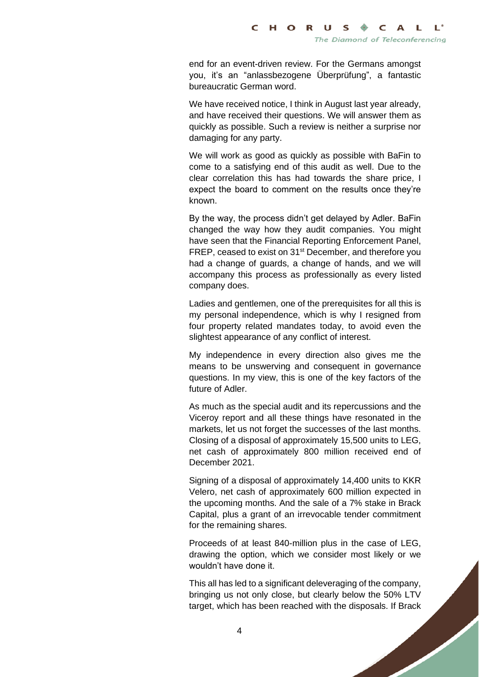end for an event-driven review. For the Germans amongst you, it's an "anlassbezogene Überprüfung", a fantastic bureaucratic German word.

We have received notice, I think in August last year already, and have received their questions. We will answer them as quickly as possible. Such a review is neither a surprise nor damaging for any party.

We will work as good as quickly as possible with BaFin to come to a satisfying end of this audit as well. Due to the clear correlation this has had towards the share price, I expect the board to comment on the results once they're known.

By the way, the process didn't get delayed by Adler. BaFin changed the way how they audit companies. You might have seen that the Financial Reporting Enforcement Panel, FREP, ceased to exist on 31<sup>st</sup> December, and therefore you had a change of guards, a change of hands, and we will accompany this process as professionally as every listed company does.

Ladies and gentlemen, one of the prerequisites for all this is my personal independence, which is why I resigned from four property related mandates today, to avoid even the slightest appearance of any conflict of interest.

My independence in every direction also gives me the means to be unswerving and consequent in governance questions. In my view, this is one of the key factors of the future of Adler.

As much as the special audit and its repercussions and the Viceroy report and all these things have resonated in the markets, let us not forget the successes of the last months. Closing of a disposal of approximately 15,500 units to LEG, net cash of approximately 800 million received end of December 2021.

Signing of a disposal of approximately 14,400 units to KKR Velero, net cash of approximately 600 million expected in the upcoming months. And the sale of a 7% stake in Brack Capital, plus a grant of an irrevocable tender commitment for the remaining shares.

Proceeds of at least 840-million plus in the case of LEG, drawing the option, which we consider most likely or we wouldn't have done it.

This all has led to a significant deleveraging of the company, bringing us not only close, but clearly below the 50% LTV target, which has been reached with the disposals. If Brack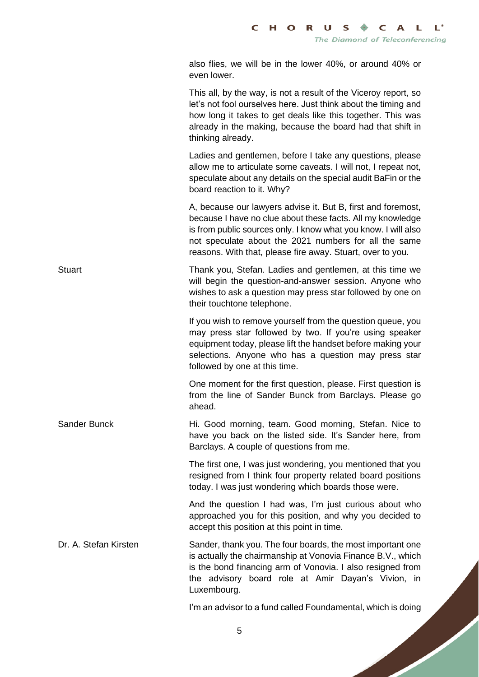also flies, we will be in the lower 40%, or around 40% or even lower.

This all, by the way, is not a result of the Viceroy report, so let's not fool ourselves here. Just think about the timing and how long it takes to get deals like this together. This was already in the making, because the board had that shift in thinking already.

Ladies and gentlemen, before I take any questions, please allow me to articulate some caveats. I will not, I repeat not, speculate about any details on the special audit BaFin or the board reaction to it. Why?

A, because our lawyers advise it. But B, first and foremost, because I have no clue about these facts. All my knowledge is from public sources only. I know what you know. I will also not speculate about the 2021 numbers for all the same reasons. With that, please fire away. Stuart, over to you.

Stuart Thank you, Stefan. Ladies and gentlemen, at this time we will begin the question-and-answer session. Anyone who wishes to ask a question may press star followed by one on their touchtone telephone.

> If you wish to remove yourself from the question queue, you may press star followed by two. If you're using speaker equipment today, please lift the handset before making your selections. Anyone who has a question may press star followed by one at this time.

> One moment for the first question, please. First question is from the line of Sander Bunck from Barclays. Please go ahead.

Sander Bunck **Hi. Good morning, team. Good morning, Stefan. Nice to** have you back on the listed side. It's Sander here, from Barclays. A couple of questions from me.

> The first one, I was just wondering, you mentioned that you resigned from I think four property related board positions today. I was just wondering which boards those were.

> And the question I had was, I'm just curious about who approached you for this position, and why you decided to accept this position at this point in time.

Dr. A. Stefan Kirsten Sander, thank you. The four boards, the most important one is actually the chairmanship at Vonovia Finance B.V., which is the bond financing arm of Vonovia. I also resigned from the advisory board role at Amir Dayan's Vivion, in Luxembourg.

I'm an advisor to a fund called Foundamental, which is doing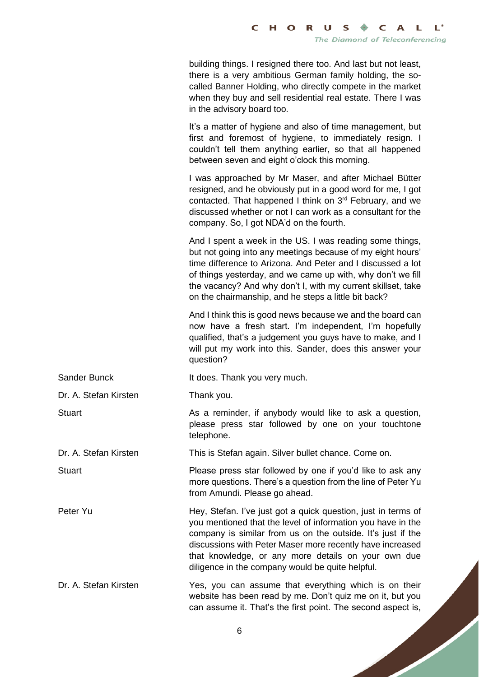building things. I resigned there too. And last but not least, there is a very ambitious German family holding, the socalled Banner Holding, who directly compete in the market when they buy and sell residential real estate. There I was in the advisory board too.

It's a matter of hygiene and also of time management, but first and foremost of hygiene, to immediately resign. I couldn't tell them anything earlier, so that all happened between seven and eight o'clock this morning.

I was approached by Mr Maser, and after Michael Bütter resigned, and he obviously put in a good word for me, I got contacted. That happened I think on 3rd February, and we discussed whether or not I can work as a consultant for the company. So, I got NDA'd on the fourth.

And I spent a week in the US. I was reading some things, but not going into any meetings because of my eight hours' time difference to Arizona. And Peter and I discussed a lot of things yesterday, and we came up with, why don't we fill the vacancy? And why don't I, with my current skillset, take on the chairmanship, and he steps a little bit back?

And I think this is good news because we and the board can now have a fresh start. I'm independent, I'm hopefully qualified, that's a judgement you guys have to make, and I will put my work into this. Sander, does this answer your question?

please press star followed by one on your touchtone

more questions. There's a question from the line of Peter Yu

Sander Bunck It does. Thank you very much.

telephone.

Dr. A. Stefan Kirsten Thank you.

Stuart **As a reminder, if anybody would like to ask a question,**  $\overline{a}$ 

Dr. A. Stefan Kirsten This is Stefan again. Silver bullet chance. Come on.

Stuart Please press star followed by one if you'd like to ask any

Peter Yu **Hey, Stefan. I've just got a quick question**, just in terms of you mentioned that the level of information you have in the company is similar from us on the outside. It's just if the discussions with Peter Maser more recently have increased that knowledge, or any more details on your own due diligence in the company would be quite helpful.

Dr. A. Stefan Kirsten Yes, you can assume that everything which is on their website has been read by me. Don't quiz me on it, but you can assume it. That's the first point. The second aspect is,

from Amundi. Please go ahead.